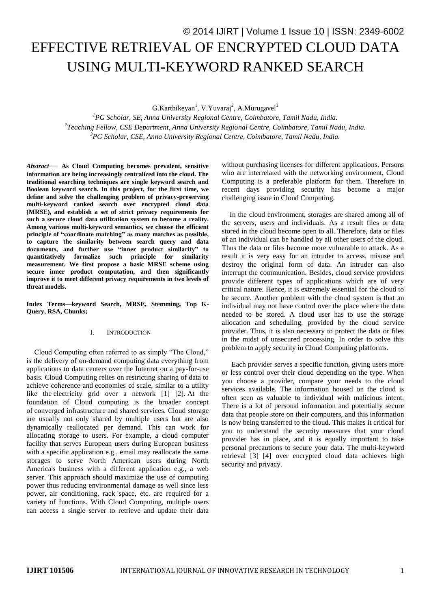# © 2014 IJIRT | Volume 1 Issue 10 | ISSN: 2349-6002 EFFECTIVE RETRIEVAL OF ENCRYPTED CLOUD DATA USING MULTI-KEYWORD RANKED SEARCH

G.Karthikeyan<sup>1</sup>, V.Yuvaraj<sup>2</sup>, A.Murugavel<sup>3</sup>

*<sup>1</sup>PG Scholar, SE, Anna University Regional Centre, Coimbatore, Tamil Nadu, India. 2 Teaching Fellow, CSE Department, Anna University Regional Centre, Coimbatore, Tamil Nadu, India. <sup>3</sup>PG Scholar, CSE, Anna University Regional Centre, Coimbatore, Tamil Nadu, India.*

*Abstract*— **As Cloud Computing becomes prevalent, sensitive information are being increasingly centralized into the cloud. The traditional searching techniques are single keyword search and Boolean keyword search. In this project, for the first time, we define and solve the challenging problem of privacy-preserving multi-keyword ranked search over encrypted cloud data (MRSE), and establish a set of strict privacy requirements for such a secure cloud data utilization system to become a reality. Among various multi-keyword semantics, we choose the efficient principle of "coordinate matching" as many matches as possible, to capture the similarity between search query and data documents, and further use "inner product similarity" to quantitatively formalize such principle for similarity measurement. We first propose a basic MRSE scheme using secure inner product computation, and then significantly improve it to meet different privacy requirements in two levels of threat models.**

**Index Terms—keyword Search, MRSE, Stemming, Top K-Query, RSA, Chunks;**

### I. INTRODUCTION

Cloud Computing often referred to as simply "The Cloud," is the delivery of on-demand computing data everything from applications to data centers over the Internet on a pay-for-use basis. Cloud Computing relies on restricting sharing of data to achieve coherence and economies of scale, similar to a utility like the electricity grid over a network [1] [2]. At the foundation of Cloud computing is the broader concept of converged infrastructure and shared services. Cloud storage are usually not only shared by multiple users but are also dynamically reallocated per demand. This can work for allocating storage to users. For example, a cloud computer facility that serves European users during European business with a specific application e.g., email may reallocate the same storages to serve North American users during North America's business with a different application e.g., a web server. This approach should maximize the use of computing power thus reducing environmental damage as well since less power, air conditioning, rack space, etc. are required for a variety of functions. With Cloud Computing, multiple users can access a single server to retrieve and update their data

without purchasing licenses for different applications. Persons who are interrelated with the networking environment, Cloud Computing is a preferable platform for them. Therefore in recent days providing security has become a major challenging issue in Cloud Computing.

In the cloud environment, storages are shared among all of the servers, users and individuals. As a result files or data stored in the cloud become open to all. Therefore, data or files of an individual can be handled by all other users of the cloud. Thus the data or files become more vulnerable to attack. As a result it is very easy for an intruder to access, misuse and destroy the original form of data. An intruder can also interrupt the communication. Besides, cloud service providers provide different types of applications which are of very critical nature. Hence, it is extremely essential for the cloud to be secure. Another problem with the cloud system is that an individual may not have control over the place where the data needed to be stored. A cloud user has to use the storage allocation and scheduling, provided by the cloud service provider. Thus, it is also necessary to protect the data or files in the midst of unsecured processing. In order to solve this problem to apply security in Cloud Computing platforms.

Each provider serves a specific function, giving users more or less control over their cloud depending on the type. When you choose a provider, compare your needs to the cloud services available. The information housed on the cloud is often seen as valuable to individual with malicious intent. There is a lot of personal information and potentially secure data that people store on their computers, and this information is now being transferred to the cloud. This makes it critical for you to understand the security measures that your cloud provider has in place, and it is equally important to take personal precautions to secure your data. The multi-keyword retrieval [3] [4] over encrypted cloud data achieves high security and privacy.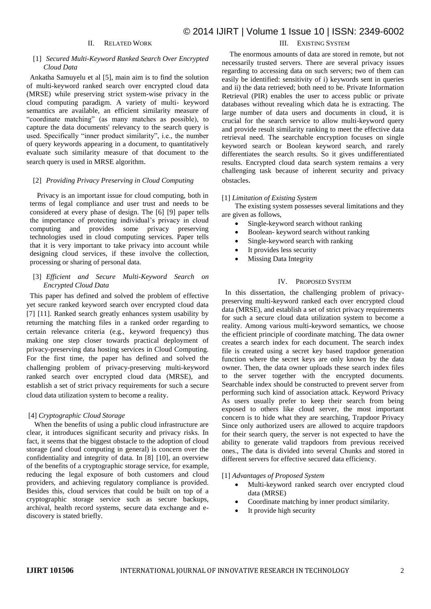## II. RELATED WORK

### [1] *Secured Multi-Keyword Ranked Search Over Encrypted Cloud Data*

Ankatha Samuyelu et al [5], main aim is to find the solution of multi-keyword ranked search over encrypted cloud data (MRSE) while preserving strict system-wise privacy in the cloud computing paradigm. A variety of multi- keyword semantics are available, an efficient similarity measure of "coordinate matching" (as many matches as possible), to capture the data documents' relevancy to the search query is used. Specifically "inner product similarity", i.e., the number of query keywords appearing in a document, to quantitatively evaluate such similarity measure of that document to the search query is used in MRSE algorithm.

### [2] *Providing Privacy Preserving in Cloud Computing*

Privacy is an important issue for cloud computing, both in terms of legal compliance and user trust and needs to be considered at every phase of design. The [6] [9] paper tells the importance of protecting individual's privacy in cloud computing and provides some privacy preserving technologies used in cloud computing services. Paper tells that it is very important to take privacy into account while designing cloud services, if these involve the collection, processing or sharing of personal data.

### [3] *Efficient and Secure Multi-Keyword Search on Encrypted Cloud Data*

This paper has defined and solved the problem of effective yet secure ranked keyword search over encrypted cloud data [7] [11]. Ranked search greatly enhances system usability by returning the matching files in a ranked order regarding to certain relevance criteria (e.g., keyword frequency) thus making one step closer towards practical deployment of privacy-preserving data hosting services in Cloud Computing. For the first time, the paper has defined and solved the challenging problem of privacy-preserving multi-keyword ranked search over encrypted cloud data (MRSE), and establish a set of strict privacy requirements for such a secure cloud data utilization system to become a reality.

### [4] *Cryptographic Cloud Storage*

When the benefits of using a public cloud infrastructure are clear, it introduces significant security and privacy risks. In fact, it seems that the biggest obstacle to the adoption of cloud storage (and cloud computing in general) is concern over the confidentiality and integrity of data. In [8] [10], an overview of the benefits of a cryptographic storage service, for example, reducing the legal exposure of both customers and cloud providers, and achieving regulatory compliance is provided. Besides this, cloud services that could be built on top of a cryptographic storage service such as secure backups, archival, health record systems, secure data exchange and ediscovery is stated briefly.

## III. EXISTING SYSTEM

The enormous amounts of data are stored in remote, but not necessarily trusted servers. There are several privacy issues regarding to accessing data on such servers; two of them can easily be identified: sensitivity of i) keywords sent in queries and ii) the data retrieved; both need to be. Private Information Retrieval (PIR) enables the user to access public or private databases without revealing which data he is extracting. The large number of data users and documents in cloud, it is crucial for the search service to allow multi-keyword query and provide result similarity ranking to meet the effective data retrieval need. The searchable encryption focuses on single keyword search or Boolean keyword search, and rarely differentiates the search results. So it gives undifferentiated results. Encrypted cloud data search system remains a very challenging task because of inherent security and privacy obstacles.

### [1] *Limitation of Existing System*

The existing system possesses several limitations and they are given as follows,

- Single-keyword search without ranking
- Boolean- keyword search without ranking
- Single-keyword search with ranking
- It provides less security
- Missing Data Integrity

### IV. PROPOSED SYSTEM

In this dissertation, the challenging problem of privacypreserving multi-keyword ranked each over encrypted cloud data (MRSE), and establish a set of strict privacy requirements for such a secure cloud data utilization system to become a reality. Among various multi-keyword semantics, we choose the efficient principle of coordinate matching. The data owner creates a search index for each document. The search index file is created using a secret key based trapdoor generation function where the secret keys are only known by the data owner. Then, the data owner uploads these search index files to the server together with the encrypted documents. Searchable index should be constructed to prevent server from performing such kind of association attack. Keyword Privacy As users usually prefer to keep their search from being exposed to others like cloud server, the most important concern is to hide what they are searching, Trapdoor Privacy Since only authorized users are allowed to acquire trapdoors for their search query, the server is not expected to have the ability to generate valid trapdoors from previous received ones., The data is divided into several Chunks and stored in different servers for effective secured data efficiency.

#### [1] *Advantages of Proposed System*

- Multi-keyword ranked search over encrypted cloud data (MRSE)
- Coordinate matching by inner product similarity.
- It provide high security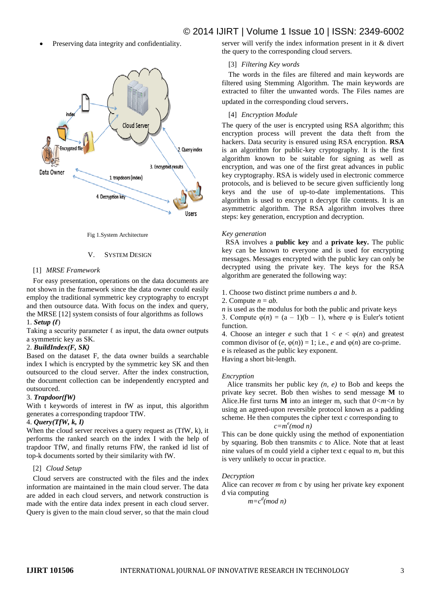Preserving data integrity and confidentiality.



Fig 1.System Architecture

### V. SYSTEM DESIGN

### [1] *MRSE Framework*

For easy presentation, operations on the data documents are not shown in the framework since the data owner could easily employ the traditional symmetric key cryptography to encrypt and then outsource data. With focus on the index and query, the MRSE [12] system consists of four algorithms as follows 1. *Setup (ℓ*)

Taking a security parameter  $\ell$  as input, the data owner outputs a symmetric key as SK.

### 2. *BuildIndex(F, SK)*

Based on the dataset F, the data owner builds a searchable index I which is encrypted by the symmetric key SK and then outsourced to the cloud server. After the index construction, the document collection can be independently encrypted and outsourced.

### 3. *Trapdoor(fW)*

With t keywords of interest in fW as input, this algorithm generates a corresponding trapdoor TfW.

### 4. *Query(TfW, k, I)*

When the cloud server receives a query request as (TfW, k), it performs the ranked search on the index I with the help of trapdoor TfW, and finally returns FfW, the ranked id list of top-k documents sorted by their similarity with fW.

### [2] *Cloud Setup*

Cloud servers are constructed with the files and the index information are maintained in the main cloud server. The data are added in each cloud servers, and network construction is made with the entire data index present in each cloud server. Query is given to the main cloud server, so that the main cloud

# © 2014 IJIRT | Volume 1 Issue 10 | ISSN: 2349-6002

server will verify the index information present in it & divert the query to the corresponding cloud servers.

### [3] *Filtering Key words*

The words in the files are filtered and main keywords are filtered using Stemming Algorithm. The main keywords are extracted to filter the unwanted words. The Files names are updated in the corresponding cloud servers.

### [4] *Encryption Module*

The query of the user is encrypted using RSA algorithm; this encryption process will prevent the data theft from the hackers. Data security is ensured using RSA encryption. **RSA**  is an algorithm for public-key cryptography. It is the first algorithm known to be suitable for signing as well as encryption, and was one of the first great advances in public key cryptography. RSA is widely used in electronic commerce protocols, and is believed to be secure given sufficiently long keys and the use of up-to-date implementations. This algorithm is used to encrypt n decrypt file contents. It is an asymmetric algorithm. The RSA algorithm involves three steps: key generation, encryption and decryption.

### *Key generation*

 RSA involves a **public key** and a **private key.** The public key can be known to everyone and is used for encrypting messages. Messages encrypted with the public key can only be decrypted using the private key. The keys for the RSA algorithm are generated the following way:

1. Choose two distinct prime numbers *a* and *b*.

2. Compute  $n = ab$ .

*n* is used as the modulus for both the public and private keys

3. Compute  $\varphi(n) = (a - 1)(b - 1)$ , where  $\varphi$  is Euler's totient function.

4. Choose an integer *e* such that  $1 < e < \varphi(n)$  and greatest common divisor of  $(e, \varphi(n)) = 1$ ; i.e., *e* and  $\varphi(n)$  are co-prime. e is released as the public key exponent.

Having a short bit-length.

### *Encryption*

 Alice transmits her public key *(n, e)* to Bob and keeps the private key secret. Bob then wishes to send message **M** to Alice. He first turns **M** into an integer m, such that  $0 < m < n$  by using an agreed-upon reversible protocol known as a padding scheme. He then computes the cipher text *c* corresponding to *c=m e (mod n)*

This can be done quickly using the method of exponentiation by squaring. Bob then transmits *c* to Alice. Note that at least nine values of m could yield a cipher text c equal to *m*, but this is very unlikely to occur in practice.

### *Decryption*

Alice can recover *m* from c by using her private key exponent d via computing

 $\int m=c^d$ (*mod n*)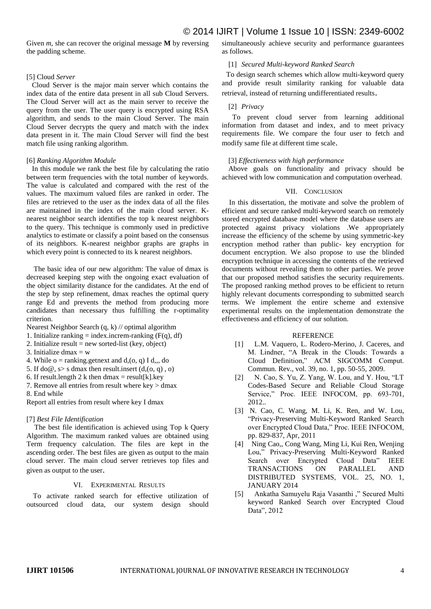Given *m*, she can recover the original message **M** by reversing the padding scheme.

### [5] Cloud *Server*

 Cloud Server is the major main server which contains the index data of the entire data present in all sub Cloud Servers. The Cloud Server will act as the main server to receive the query from the user. The user query is encrypted using RSA algorithm, and sends to the main Cloud Server. The main Cloud Server decrypts the query and match with the index data present in it. The main Cloud Server will find the best match file using ranking algorithm.

### [6] *Ranking Algorithm Module*

 In this module we rank the best file by calculating the ratio between term frequencies with the total number of keywords. The value is calculated and compared with the rest of the values. The maximum valued files are ranked in order. The files are retrieved to the user as the index data of all the files are maintained in the index of the main cloud server. Knearest neighbor search identifies the top k nearest neighbors to the query. This technique is commonly used in predictive analytics to estimate or classify a point based on the consensus of its neighbors. K-nearest neighbor graphs are graphs in which every point is connected to its k nearest neighbors.

 The basic idea of our new algorithm: The value of dmax is decreased keeping step with the ongoing exact evaluation of the object similarity distance for the candidates. At the end of the step by step refinement, dmax reaches the optimal query range Ed and prevents the method from producing more candidates than necessary thus fulfilling the r-optimality criterion.

Nearest Neighbor Search (q, k) // optimal algorithm

- 1. Initialize ranking  $=$  index.increm-ranking  $(F(q), df)$
- 2. Initialize result = new sorted-list (key, object)
- 3. Initialize dmax  $=$  w
- 4. While  $o = \text{ranking.getnext}$  and  $d_1(o, q)$  I d,  $do$
- 5. If do  $\emptyset$ , s s dmax then result.insert  $(d, (o, q), o)$
- 6. If result. length 2 k then dmax = result [k]. key
- 7. Remove all entries from result where key > dmax

8. End while

Report all entries from result where key I dmax

### [7] *Best File Identification*

The best file identification is achieved using Top k Query Algorithm. The maximum ranked values are obtained using Term frequency calculation. The files are kept in the ascending order. The best files are given as output to the main cloud server. The main cloud server retrieves top files and given as output to the user.

### VI. EXPERIMENTAL RESULTS

To activate ranked search for effective utilization of outsourced cloud data, our system design should simultaneously achieve security and performance guarantees as follows.

### [1] *Secured Multi-keyword Ranked Search*

 To design search schemes which allow multi-keyword query and provide result similarity ranking for valuable data retrieval, instead of returning undifferentiated results.

### [2] *Privacy*

To prevent cloud server from learning additional information from dataset and index, and to meet privacy requirements file. We compare the four user to fetch and modify same file at different time scale.

### [3] *Effectiveness with high performance*

Above goals on functionality and privacy should be achieved with low communication and computation overhead.

### VII. CONCLUSION

 In this dissertation, the motivate and solve the problem of efficient and secure ranked multi-keyword search on remotely stored encrypted database model where the database users are protected against privacy violations .We appropriately increase the efficiency of the scheme by using symmetric-key encryption method rather than public- key encryption for document encryption. We also propose to use the blinded encryption technique in accessing the contents of the retrieved documents without revealing them to other parties. We prove that our proposed method satisfies the security requirements. The proposed ranking method proves to be efficient to return highly relevant documents corresponding to submitted search terms. We implement the entire scheme and extensive experimental results on the implementation demonstrate the effectiveness and efficiency of our solution.

### REFERENCE

- [1] L.M. Vaquero, L. Rodero-Merino, J. Caceres, and M. Lindner, "A Break in the Clouds: Towards a Cloud Definition," ACM SIGCOMM Comput. Commun. Rev., vol. 39, no. 1, pp. 50-55, 2009.
- [2] N. Cao, S. Yu, Z. Yang, W. Lou, and Y. Hou, "LT Codes-Based Secure and Reliable Cloud Storage Service," Proc. IEEE INFOCOM, pp. 693-701, 2012..
- [3] N. Cao, C. Wang, M. Li, K. Ren, and W. Lou, "Privacy-Preserving Multi-Keyword Ranked Search over Encrypted Cloud Data," Proc. IEEE INFOCOM, pp. 829-837, Apr, 2011
- [4] Ning Cao,, Cong Wang, Ming Li, Kui Ren, Wenjing Lou," Privacy-Preserving Multi-Keyword Ranked Search over Encrypted Cloud Data" IEEE TRANSACTIONS ON PARALLEL AND DISTRIBUTED SYSTEMS, VOL. 25, NO. 1, JANUARY 2014
- [5] Ankatha Samuyelu Raja Vasanthi ," Secured Multi keyword Ranked Search over Encrypted Cloud Data", 2012